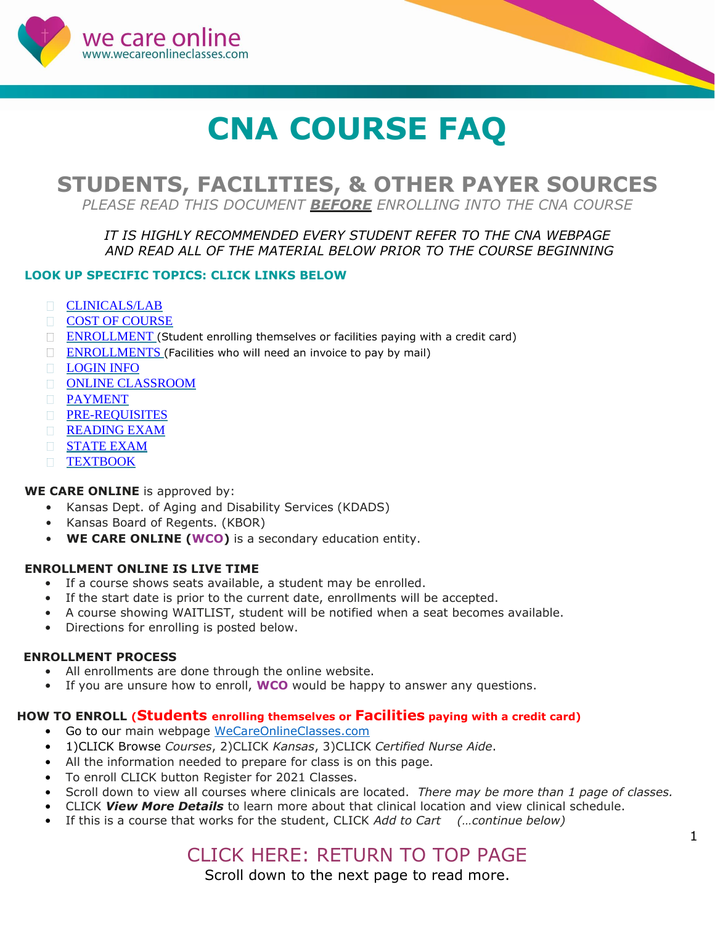<span id="page-0-0"></span>

# **CNA COURSE FAQ**

# **STUDENTS, FACILITIES, & OTHER PAYER SOURCES**

*PLEASE READ THIS DOCUMENT BEFORE ENROLLING INTO THE CNA COURSE*

# *IT IS HIGHLY RECOMMENDED EVERY STUDENT REFER TO THE CNA WEBPAGE AND READ ALL OF THE MATERIAL BELOW PRIOR TO THE COURSE BEGINNING*

# **LOOK UP SPECIFIC TOPICS: CLICK LINKS BELOW**

- **[CLINICALS/LAB](#page-2-0)**
- [COST OF](#page-1-0) COURSE
- $\Box$  ENROLLMENT (Student enrolling themselves or facilities paying with a credit card)
- **[ENROLLMENTS](#page-1-0)** (Facilities who will need an invoice to pay by mail)
- **[LOGIN](#page-3-0) INFO**
- ONLINE [CLASSROOM](#page-4-0)
- [PAYMENT](#page-1-0)
- **[PRE-REQUISITES](#page-3-0)**
- **[READING EXAM](#page-3-0)**
- **[STATE](#page-4-0) EXAM**
- **[TEXTBOOK](#page-3-0)**

# **WE CARE ONLINE** is approved by:

- Kansas Dept. of Aging and Disability Services (KDADS)
- Kansas Board of Regents. (KBOR)
- **WE CARE ONLINE (WCO)** is a secondary education entity.

# **ENROLLMENT ONLINE IS LIVE TIME**

- If a course shows seats available, a student may be enrolled.
- If the start date is prior to the current date, enrollments will be accepted.
- A course showing WAITLIST, student will be notified when a seat becomes available.
- Directions for enrolling is posted below.

# **ENROLLMENT PROCESS**

- All enrollments are done through the online website.
- If you are unsure how to enroll, **WCO** would be happy to answer any questions.

# **HOW TO ENROLL (Students enrolling themselves or Facilities paying with a credit card)**

- Go to our main webpage [WeCareOnlineClasses.com](https://wecareonlineclasses.com/)
- 1)CLICK Browse *Courses*, 2)CLICK *Kansas*, 3)CLICK *Certified Nurse Aide*.
- All the information needed to prepare for class is on this page.
- To enroll CLICK button Register for 2021 Classes.
- Scroll down to view all courses where clinicals are located. *There may be more than 1 page of classes.*
- CLICK *View More Details* to learn more about that clinical location and view clinical schedule.
- If this is a course that works for the student, CLICK *Add to Cart (…continue below)*

# CLICK HERE: RETURN TO TOP PAGE

Scroll down to the next page to read more.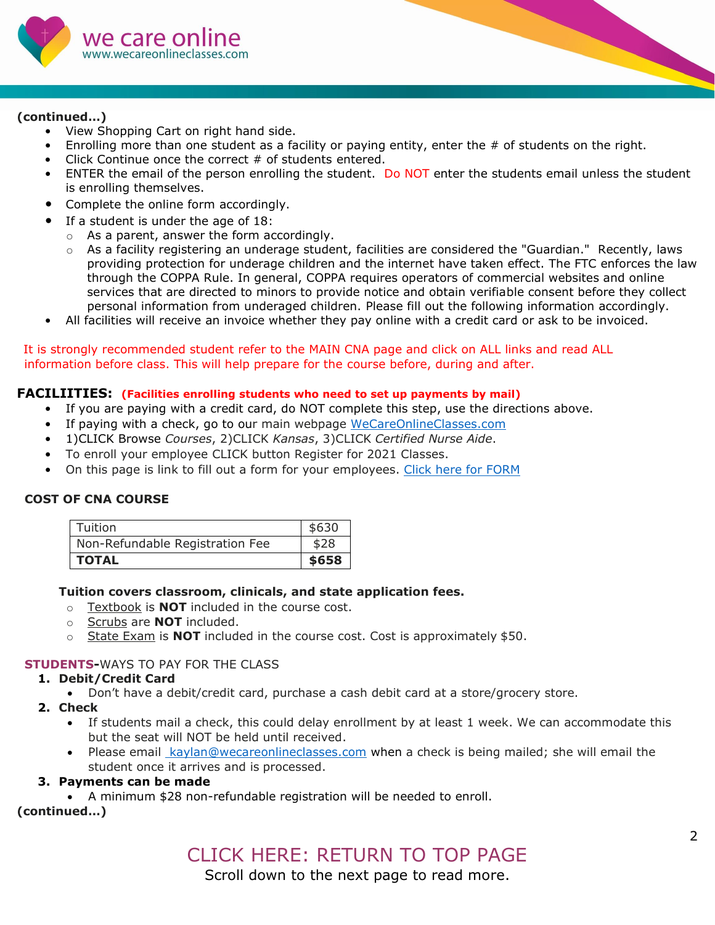<span id="page-1-0"></span>

# **(continued…)**

- View Shopping Cart on right hand side.
- Enrolling more than one student as a facility or paying entity, enter the # of students on the right.
- Click Continue once the correct # of students entered.
- ENTER the email of the person enrolling the student. Do NOT enter the students email unless the student is enrolling themselves.
- Complete the online form accordingly.
- If a student is under the age of 18:
	- $\circ$  As a parent, answer the form accordingly.
	- $\circ$  As a facility registering an underage student, facilities are considered the "Guardian." Recently, laws providing protection for underage children and the internet have taken effect. The FTC enforces the law through the COPPA Rule. In general, COPPA requires operators of commercial websites and online services that are directed to minors to provide notice and obtain verifiable consent before they collect personal information from underaged children. Please fill out the following information accordingly.
- All facilities will receive an invoice whether they pay online with a credit card or ask to be invoiced.

#### It is strongly recommended student refer to the MAIN CNA page and click on ALL links and read ALL information before class. This will help prepare for the course before, during and after.

# **FACILIITIES: (Facilities enrolling students who need to set up payments by mail)**

- If you are paying with a credit card, do NOT complete this step, use the directions above.
- If paying with a check, go to our main webpage [WeCareOnlineClasses.com](https://wecareonlineclasses.com/)
- 1)CLICK Browse *Courses*, 2)CLICK *Kansas*, 3)CLICK *Certified Nurse Aide*.
- To enroll your employee CLICK button Register for 2021 Classes.
- On this page is link to fill out a form for your employees. [Click here for FORM](https://form.jotform.com/203025985550051)

# **COST OF CNA COURSE**

| <b>TOTAL</b>                    | \$658 |
|---------------------------------|-------|
| Non-Refundable Registration Fee | \$28  |
| Tuition                         | \$630 |

#### **Tuition covers classroom, clinicals, and state application fees.**

- o Textbook is **NOT** included in the course cost.
- o Scrubs are **NOT** included.
- o State Exam is **NOT** included in the course cost. Cost is approximately \$50.

# **STUDENTS-**WAYS TO PAY FOR THE CLASS

# **1. Debit/Credit Card**

- Don't have a debit/credit card, purchase a cash debit card at a store/grocery store.
- **2. Check**
	- If students mail a check, this could delay enrollment by at least 1 week. We can accommodate this but the seat will NOT be held until received.
	- Please email [kaylan@wecareonlineclasses.com](mailto:%20kaylan@wecareonlineclasses.com) when a check is being mailed; she will email the student once it arrives and is processed.

#### **3. Payments can be made**

• A minimum \$28 non-refundable registration will be needed to enroll.

**(continued…)**

Scroll down to the next page to read more.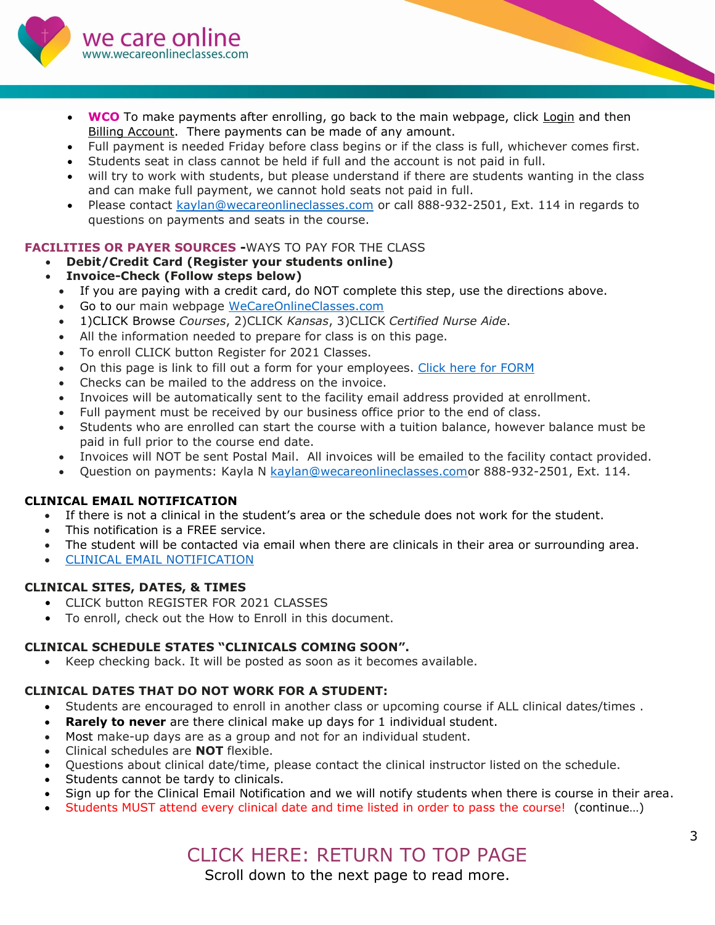<span id="page-2-0"></span>

- **WCO** To make payments after enrolling, go back to the main webpage, click Login and then Billing Account. There payments can be made of any amount.
- Full payment is needed Friday before class begins or if the class is full, whichever comes first.
- Students seat in class cannot be held if full and the account is not paid in full.
- will try to work with students, but please understand if there are students wanting in the class and can make full payment, we cannot hold seats not paid in full.
- Please contact [kaylan@wecareonlineclasses.com](mailto:kaylan@wecareonlineclasses.com) or call 888-932-2501, Ext. 114 in regards to questions on payments and seats in the course.

# **FACILITIES OR PAYER SOURCES -**WAYS TO PAY FOR THE CLASS

# • **Debit/Credit Card (Register your students online)**

- **Invoice-Check (Follow steps below)**
	- If you are paying with a credit card, do NOT complete this step, use the directions above.
	- Go to our main webpage [WeCareOnlineClasses.com](https://wecareonlineclasses.com/)
	- 1)CLICK Browse *Courses*, 2)CLICK *Kansas*, 3)CLICK *Certified Nurse Aide*.
	- All the information needed to prepare for class is on this page.
	- To enroll CLICK button Register for 2021 Classes.
	- On this page is link to fill out a form for your employees. [Click here for FORM](https://form.jotform.com/203025985550051)
	- Checks can be mailed to the address on the invoice.
	- Invoices will be automatically sent to the facility email address provided at enrollment.
	- Full payment must be received by our business office prior to the end of class.
	- Students who are enrolled can start the course with a tuition balance, however balance must be paid in full prior to the course end date.
	- Invoices will NOT be sent Postal Mail. All invoices will be emailed to the facility contact provided.
	- Question on payments: Kayla N [kaylan@wecareonlineclasses.como](mailto:kaylan@wecareonlineclasses.com?subject=Enrollment%20and%20Finance)r 888-932-2501, Ext. 114.

# **CLINICAL EMAIL NOTIFICATION**

- If there is not a clinical in the student's area or the schedule does not work for the student.
- This notification is a FREE service.
- The student will be contacted via email when there are clinicals in their area or surrounding area.
- [CLINICAL EMAIL NOTIFICATION](https://form.jotform.com/202705547789063)

# **CLINICAL SITES, DATES, & TIMES**

- CLICK button REGISTER FOR 2021 CLASSES
- To enroll, check out the How to Enroll in this document.

#### **CLINICAL SCHEDULE STATES "CLINICALS COMING SOON".**

• Keep checking back. It will be posted as soon as it becomes available.

# **CLINICAL DATES THAT DO NOT WORK FOR A STUDENT:**

- Students are encouraged to enroll in another class or upcoming course if ALL clinical dates/times .
- **Rarely to never** are there clinical make up days for 1 individual student.
- Most make-up days are as a group and not for an individual student.
- Clinical schedules are **NOT** flexible.
- Questions about clinical date/time, please contact the clinical instructor listed on the schedule.
- Students cannot be tardy to clinicals.
- Sign up for the Clinical Email Notification and we will notify students when there is course in their area.
- Students MUST attend every clinical date and time listed in order to pass the course! (continue…)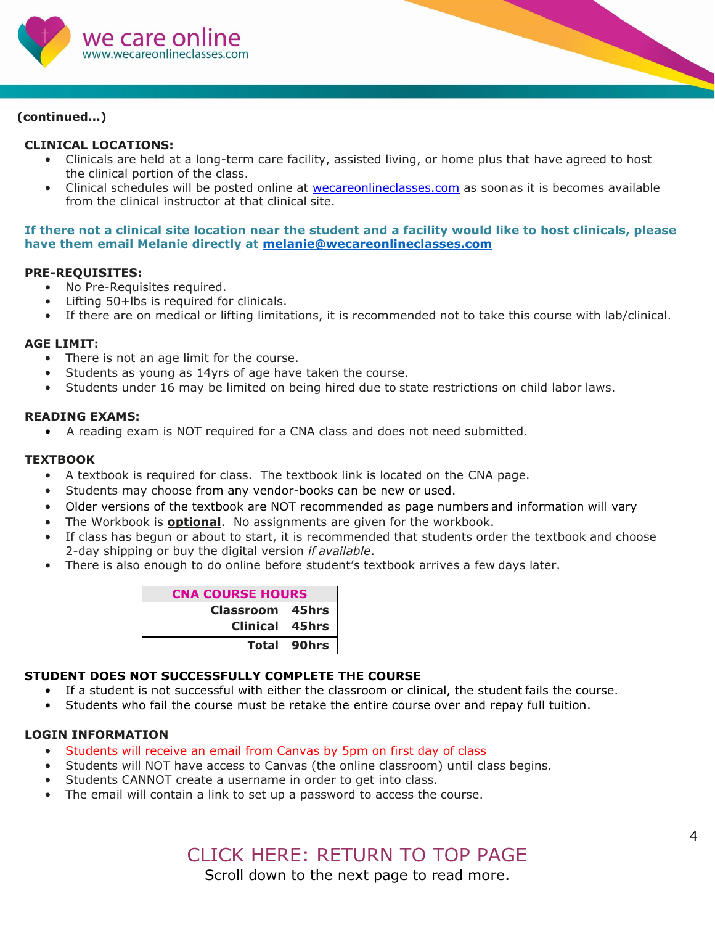<span id="page-3-0"></span>

# **(continued…)**

### **CLINICAL LOCATIONS:**

- Clinicals are held at a long-term care facility, assisted living, or home plus that have agreed to host the clinical portion of the class.
- <span id="page-3-1"></span>• Clinical schedules will be posted online at **[wecareonlineclasses.com](https://wecareonlineclasses.com/courses2/kansas/certified-nurse-aide-kansas/)** as soonas it is becomes available from the clinical instructor at that clinical site.

**If there not a clinical site location near the student and a facility would like to host clinicals, please have them email Melanie directly at [melanie@wecareonlineclasses.com](mailto:melanie@wecareonlineclasses.com)**

#### **[PRE-REQUISITES:](#page-3-1)**

- No Pre-Requisites required.
- Lifting 50+lbs is required for clinicals.
- If there are on medical or lifting limitations, it is recommended not to take this course with lab/clinical.

#### **AGE LIMIT:**

- There is not an age limit for the course.
- Students as young as 14yrs of age have taken the course.
- Students under 16 may be limited on being hired due to state restrictions on child labor laws.

#### <span id="page-3-3"></span>**[READING EXAMS:](#page-3-2)**

• A reading exam is NOT required for a CNA class and does not need submitted.

#### **[TEXTBOOK](#page-3-3)**

- A textbook is required for class. The textbook link is located on the CNA page.
- Students may choose from any vendor-books can be new or used.
- Older versions of the textbook are NOT recommended as page numbers and information will vary
- The Workbook is **optional**. No assignments are given for the workbook.
- If class has begun or about to start, it is recommended that students order the textbook and choose 2-day shipping or buy the digital version *if available*.
- There is also enough to do online before student's textbook arrives a few days later.

<span id="page-3-5"></span><span id="page-3-2"></span>

| <b>CNA COURSE HOURS</b> |             |
|-------------------------|-------------|
| <b>Classroom 45hrs</b>  |             |
| Clinical   45hrs        |             |
|                         | Total 90hrs |

#### <span id="page-3-4"></span>**STUDENT DOES NOT SUCCESSFULLY COMPLETE THE COURSE**

- If a student is not successful with either the classroom or clinical, the student fails the course.
- Students who fail the course must be retake the entire course over and repay full tuition.

#### **[LOGIN INFORMATION](#page-3-4)**

- Students will receive an email from Canvas by 5pm on first day of class
- Students will NOT have access to Canvas (the online classroom) until class begins.
- Students CANNOT create a username in order to get into class.
- The email will contain a link to set up a password to access the course.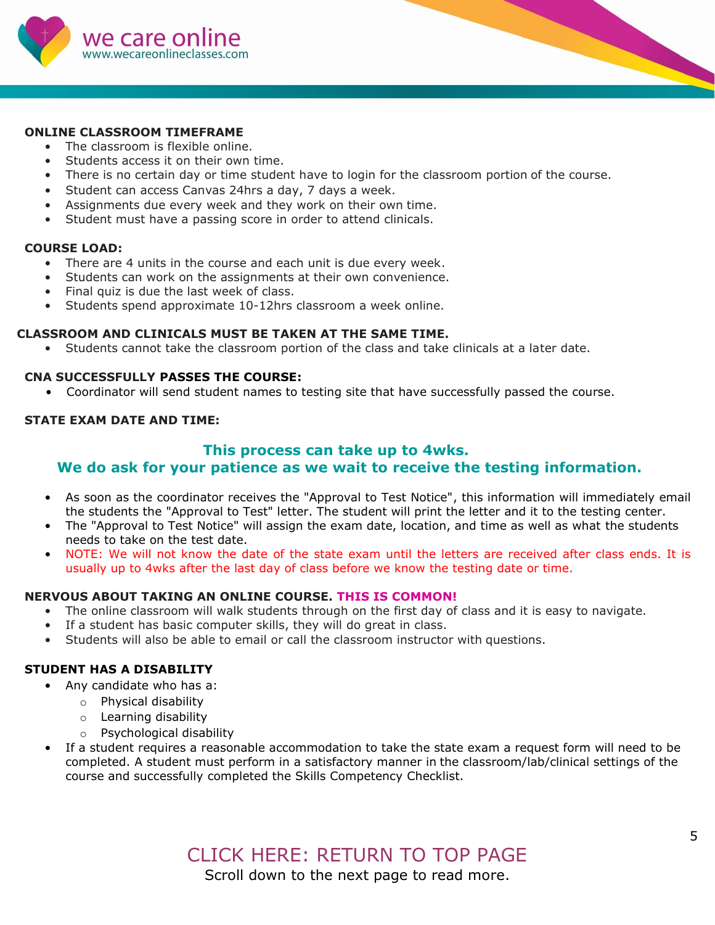<span id="page-4-0"></span>

#### **[ONLINE CLASSROOM TIMEFRAME](#page-3-5)**

- The classroom is flexible online.
- Students access it on their own time.
- There is no certain day or time student have to login for the classroom portion of the course.
- Student can access Canvas 24hrs a day, 7 days a week.
- Assignments due every week and they work on their own time.
- Student must have a passing score in order to attend clinicals.

#### **COURSE LOAD:**

- There are 4 units in the course and each unit is due every week.
- Students can work on the assignments at their own convenience.
- Final quiz is due the last week of class.
- Students spend approximate 10-12hrs classroom a week online.

#### **CLASSROOM AND CLINICALS MUST BE TAKEN AT THE SAME TIME.**

• Students cannot take the classroom portion of the class and take clinicals at a later date.

#### **CNA SUCCESSFULLY PASSES THE COURSE:**

• Coordinator will send student names to testing site that have successfully passed the course.

#### **STATE EXAM DATE AND TIME:**

#### **This process can take up to 4wks.**

#### **We do ask for your patience as we wait to receive the testing information.**

- As soon as the coordinator receives the "Approval to Test Notice", this information will immediately email the students the "Approval to Test" letter. The student will print the letter and it to the testing center.
- The "Approval to Test Notice" will assign the exam date, location, and time as well as what the students needs to take on the test date.
- NOTE: We will not know the date of the state exam until the letters are received after class ends. It is usually up to 4wks after the last day of class before we know the testing date or time.

#### **NERVOUS ABOUT TAKING AN ONLINE COURSE. THIS IS COMMON!**

- The online classroom will walk students through on the first day of class and it is easy to navigate.
- If a student has basic computer skills, they will do great in class.
- Students will also be able to email or call the classroom instructor with questions.

#### **STUDENT HAS A DISABILITY**

- Any candidate who has a:
	- o Physical disability
	- o Learning disability
	- o Psychological disability
- If a student requires a reasonable accommodation to take the state exam a request form will need to be completed. A student must perform in a satisfactory manner in the classroom/lab/clinical settings of the course and successfully completed the Skills Competency Checklist.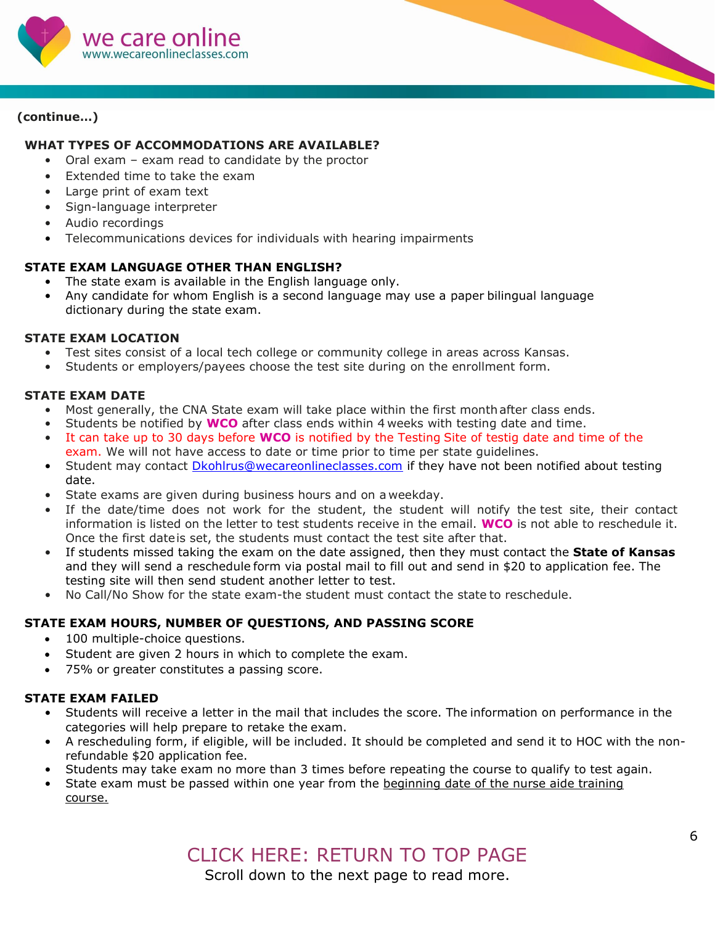

# **(continue…)**

# <span id="page-5-0"></span>**WHAT TYPES OF ACCOMMODATIONS ARE AVAILABLE?**

- Oral exam exam read to candidate by the proctor
- Extended time to take the exam
- Large print of exam text
- Sign-language interpreter
- Audio recordings
- Telecommunications devices for individuals with hearing impairments

#### **[STATE EXAM L](#page-5-0)ANGUAGE OTHER THAN ENGLISH?**

- The state exam is available in the English language only.
- Any candidate for whom English is a second language may use a paper bilingual language dictionary during the state exam.

#### **STATE EXAM LOCATION**

- Test sites consist of a local tech college or community college in areas across Kansas.
- Students or employers/payees choose the test site during on the enrollment form.

#### **STATE EXAM DATE**

- Most generally, the CNA State exam will take place within the first monthafter class ends.
- Students be notified by **WCO** after class ends within 4 weeks with testing date and time.
- It can take up to 30 days before **WCO** is notified by the Testing Site of testig date and time of the exam. We will not have access to date or time prior to time per state guidelines.
- Student may contact *[Dkohlrus@wecareonlineclasses.com](mailto:Cbowen@wecareonlineclasses.com)* if they have not been notified about testing date.
- State exams are given during business hours and on a weekday.
- If the date/time does not work for the student, the student will notify the test site, their contact information is listed on the letter to test students receive in the email. **WCO** is not able to reschedule it. Once the first dateis set, the students must contact the test site after that.
- If students missed taking the exam on the date assigned, then they must contact the **State of Kansas**  and they will send a reschedule form via postal mail to fill out and send in \$20 to application fee. The testing site will then send student another letter to test.
- No Call/No Show for the state exam-the student must contact the state to reschedule.

# **STATE EXAM HOURS, NUMBER OF QUESTIONS, AND PASSING SCORE**

- 100 multiple-choice questions.
- Student are given 2 hours in which to complete the exam.
- 75% or greater constitutes a passing score.

#### **STATE EXAM FAILED**

- Students will receive a letter in the mail that includes the score. The information on performance in the categories will help prepare to retake the exam.
- A rescheduling form, if eligible, will be included. It should be completed and send it to HOC with the nonrefundable \$20 application fee.
- Students may take exam no more than 3 times before repeating the course to qualify to test again.
- State exam must be passed within one year from the beginning date of the nurse aide training course.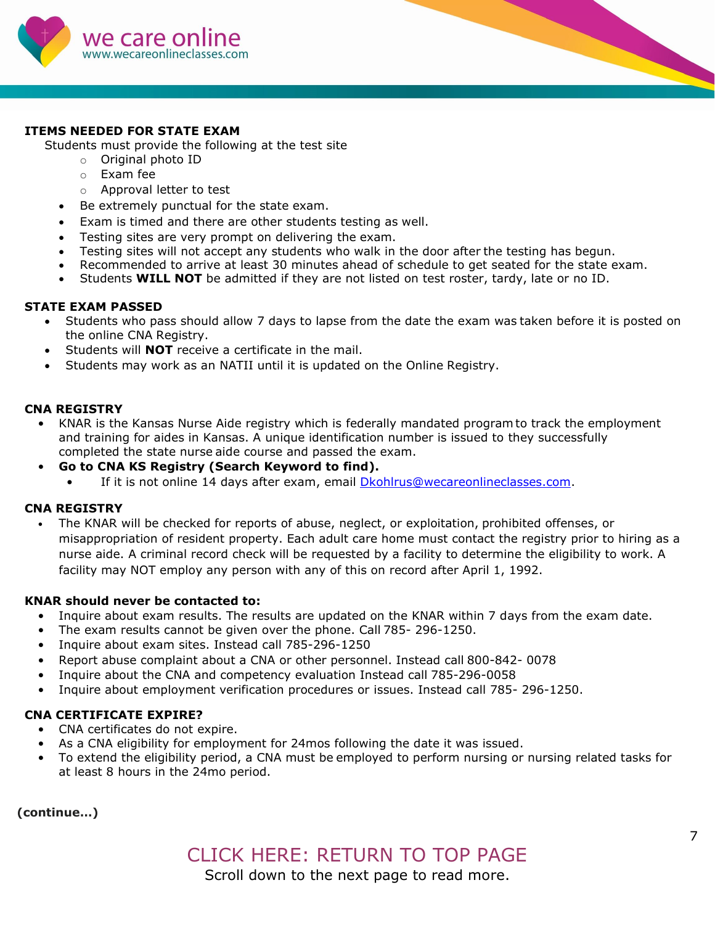

### **ITEMS NEEDED FOR STATE EXAM**

Students must provide the following at the test site

- o Original photo ID
- o Exam fee
- o Approval letter to test
- Be extremely punctual for the state exam.
- Exam is timed and there are other students testing as well.
- Testing sites are very prompt on delivering the exam.
- Testing sites will not accept any students who walk in the door after the testing has begun.
- Recommended to arrive at least 30 minutes ahead of schedule to get seated for the state exam.
- Students **WILL NOT** be admitted if they are not listed on test roster, tardy, late or no ID.

#### **STATE EXAM PASSED**

- Students who pass should allow 7 days to lapse from the date the exam was taken before it is posted on the online CNA Registry.
- Students will **NOT** receive a certificate in the mail.
- Students may work as an NATII until it is updated on the Online Registry.

#### **CNA REGISTRY**

- KNAR is the Kansas Nurse Aide registry which is federally mandated programto track the employment and training for aides in Kansas. A unique identification number is issued to they successfully completed the state nurse aide course and passed the exam.
- **Go to CNA KS Registry (Search Keyword to find).**
	- If it is not online 14 days after exam, email **Dkohlrus@wecareonlineclasses.com**.

#### **CNA REGISTRY**

• The KNAR will be checked for reports of abuse, neglect, or exploitation, prohibited offenses, or misappropriation of resident property. Each adult care home must contact the registry prior to hiring as a nurse aide. A criminal record check will be requested by a facility to determine the eligibility to work. A facility may NOT employ any person with any of this on record after April 1, 1992.

#### **KNAR should never be contacted to:**

- Inquire about exam results. The results are updated on the KNAR within 7 days from the exam date.
- The exam results cannot be given over the phone. Call 785- 296-1250.
- Inquire about exam sites. Instead call 785-296-1250
- Report abuse complaint about a CNA or other personnel. Instead call 800-842- 0078
- Inquire about the CNA and competency evaluation Instead call 785-296-0058
- Inquire about employment verification procedures or issues. Instead call 785- 296-1250.

#### **CNA CERTIFICATE EXPIRE?**

- CNA certificates do not expire.
- As a CNA eligibility for employment for 24mos following the date it was issued.
- To extend the eligibility period, a CNA must be employed to perform nursing or nursing related tasks for at least 8 hours in the 24mo period.

#### **(continue…)**